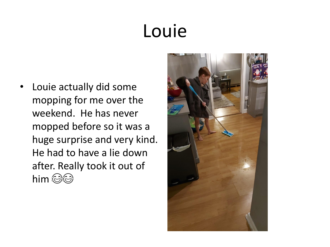### Louie

Louie actually did some mopping for me over the weekend. He has never mopped before so it was a huge surprise and very kind. He had to have a lie down after. Really took it out of him @@

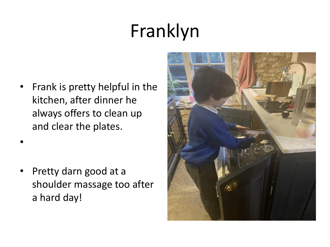## Franklyn

• Frank is pretty helpful in the kitchen, after dinner he always offers to clean up and clear the plates.

•

• Pretty darn good at a shoulder massage too after a hard day!

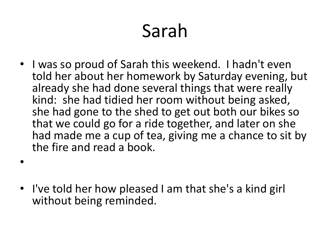### Sarah

• I was so proud of Sarah this weekend. I hadn't even told her about her homework by Saturday evening, but already she had done several things that were really kind: she had tidied her room without being asked, she had gone to the shed to get out both our bikes so that we could go for a ride together, and later on she had made me a cup of tea, giving me a chance to sit by the fire and read a book.

• I've told her how pleased I am that she's a kind girl without being reminded.

•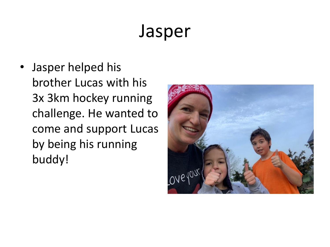#### Jasper

• Jasper helped his brother Lucas with his 3x 3km hockey running challenge. He wanted to come and support Lucas by being his running buddy!